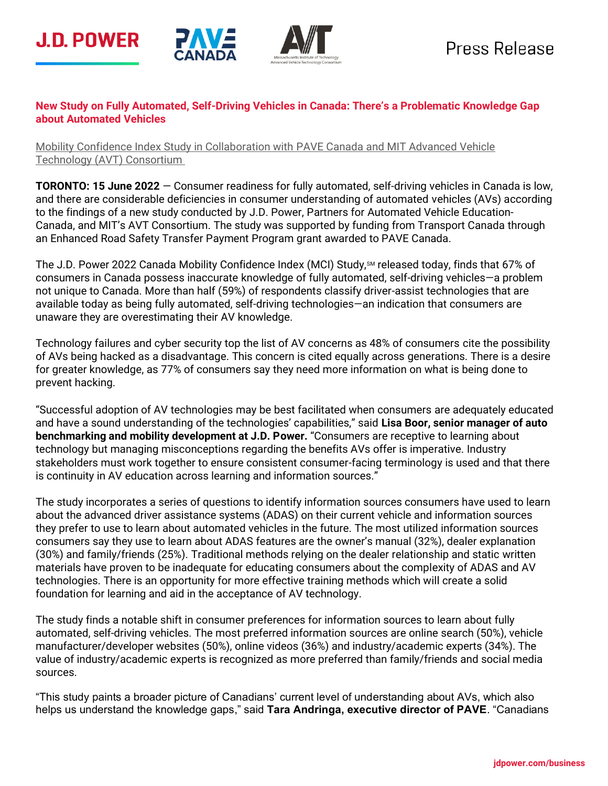





#### **New Study on Fully Automated, Self-Driving Vehicles in Canada: There's a Problematic Knowledge Gap about Automated Vehicles**

Mobility Confidence Index Study in Collaboration with PAVE Canada and MIT Advanced Vehicle Technology (AVT) Consortium

**TORONTO: 15 June 2022** — Consumer readiness for fully automated, self-driving vehicles in Canada is low, and there are considerable deficiencies in consumer understanding of automated vehicles (AVs) according to the findings of a new study conducted by J.D. Power, Partners for Automated Vehicle Education-Canada, and MIT's AVT Consortium. The study was supported by funding from Transport Canada through an Enhanced Road Safety Transfer Payment Program grant awarded to PAVE Canada.

The J.D. Power 2022 Canada Mobility Confidence Index (MCI) Study, SM released today, finds that 67% of consumers in Canada possess inaccurate knowledge of fully automated, self-driving vehicles—a problem not unique to Canada. More than half (59%) of respondents classify driver-assist technologies that are available today as being fully automated, self-driving technologies—an indication that consumers are unaware they are overestimating their AV knowledge.

Technology failures and cyber security top the list of AV concerns as 48% of consumers cite the possibility of AVs being hacked as a disadvantage. This concern is cited equally across generations. There is a desire for greater knowledge, as 77% of consumers say they need more information on what is being done to prevent hacking.

"Successful adoption of AV technologies may be best facilitated when consumers are adequately educated and have a sound understanding of the technologies' capabilities," said **Lisa Boor, senior manager of auto benchmarking and mobility development at J.D. Power.** "Consumers are receptive to learning about technology but managing misconceptions regarding the benefits AVs offer is imperative. Industry stakeholders must work together to ensure consistent consumer-facing terminology is used and that there is continuity in AV education across learning and information sources."

The study incorporates a series of questions to identify information sources consumers have used to learn about the advanced driver assistance systems (ADAS) on their current vehicle and information sources they prefer to use to learn about automated vehicles in the future. The most utilized information sources consumers say they use to learn about ADAS features are the owner's manual (32%), dealer explanation (30%) and family/friends (25%). Traditional methods relying on the dealer relationship and static written materials have proven to be inadequate for educating consumers about the complexity of ADAS and AV technologies. There is an opportunity for more effective training methods which will create a solid foundation for learning and aid in the acceptance of AV technology.

The study finds a notable shift in consumer preferences for information sources to learn about fully automated, self-driving vehicles. The most preferred information sources are online search (50%), vehicle manufacturer/developer websites (50%), online videos (36%) and industry/academic experts (34%). The value of industry/academic experts is recognized as more preferred than family/friends and social media sources.

"This study paints a broader picture of Canadians' current level of understanding about AVs, which also helps us understand the knowledge gaps," said **Tara Andringa, executive director of PAVE**. "Canadians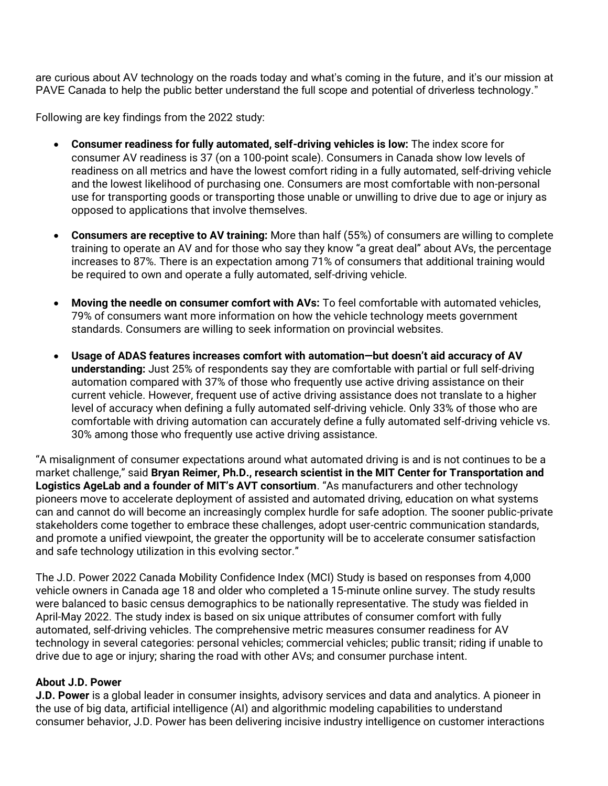are curious about AV technology on the roads today and what's coming in the future, and it's our mission at PAVE Canada to help the public better understand the full scope and potential of driverless technology."

Following are key findings from the 2022 study:

- **Consumer readiness for fully automated, self-driving vehicles is low:** The index score for consumer AV readiness is 37 (on a 100-point scale). Consumers in Canada show low levels of readiness on all metrics and have the lowest comfort riding in a fully automated, self-driving vehicle and the lowest likelihood of purchasing one. Consumers are most comfortable with non-personal use for transporting goods or transporting those unable or unwilling to drive due to age or injury as opposed to applications that involve themselves.
- **Consumers are receptive to AV training:** More than half (55%) of consumers are willing to complete training to operate an AV and for those who say they know "a great deal" about AVs, the percentage increases to 87%. There is an expectation among 71% of consumers that additional training would be required to own and operate a fully automated, self-driving vehicle.
- **Moving the needle on consumer comfort with AVs:** To feel comfortable with automated vehicles, 79% of consumers want more information on how the vehicle technology meets government standards. Consumers are willing to seek information on provincial websites.
- **Usage of ADAS features increases comfort with automation—but doesn't aid accuracy of AV understanding:** Just 25% of respondents say they are comfortable with partial or full self-driving automation compared with 37% of those who frequently use active driving assistance on their current vehicle. However, frequent use of active driving assistance does not translate to a higher level of accuracy when defining a fully automated self-driving vehicle. Only 33% of those who are comfortable with driving automation can accurately define a fully automated self-driving vehicle vs. 30% among those who frequently use active driving assistance.

"A misalignment of consumer expectations around what automated driving is and is not continues to be a market challenge," said **Bryan Reimer, Ph.D., research scientist in the MIT Center for Transportation and Logistics AgeLab and a founder of MIT's AVT consortium**. "As manufacturers and other technology pioneers move to accelerate deployment of assisted and automated driving, education on what systems can and cannot do will become an increasingly complex hurdle for safe adoption. The sooner public-private stakeholders come together to embrace these challenges, adopt user-centric communication standards, and promote a unified viewpoint, the greater the opportunity will be to accelerate consumer satisfaction and safe technology utilization in this evolving sector."

The J.D. Power 2022 Canada Mobility Confidence Index (MCI) Study is based on responses from 4,000 vehicle owners in Canada age 18 and older who completed a 15-minute online survey. The study results were balanced to basic census demographics to be nationally representative. The study was fielded in April-May 2022. The study index is based on six unique attributes of consumer comfort with fully automated, self-driving vehicles. The comprehensive metric measures consumer readiness for AV technology in several categories: personal vehicles; commercial vehicles; public transit; riding if unable to drive due to age or injury; sharing the road with other AVs; and consumer purchase intent.

### **About J.D. Power**

**J.D. Power** is a global leader in consumer insights, advisory services and data and analytics. A pioneer in the use of big data, artificial intelligence (AI) and algorithmic modeling capabilities to understand consumer behavior, J.D. Power has been delivering incisive industry intelligence on customer interactions